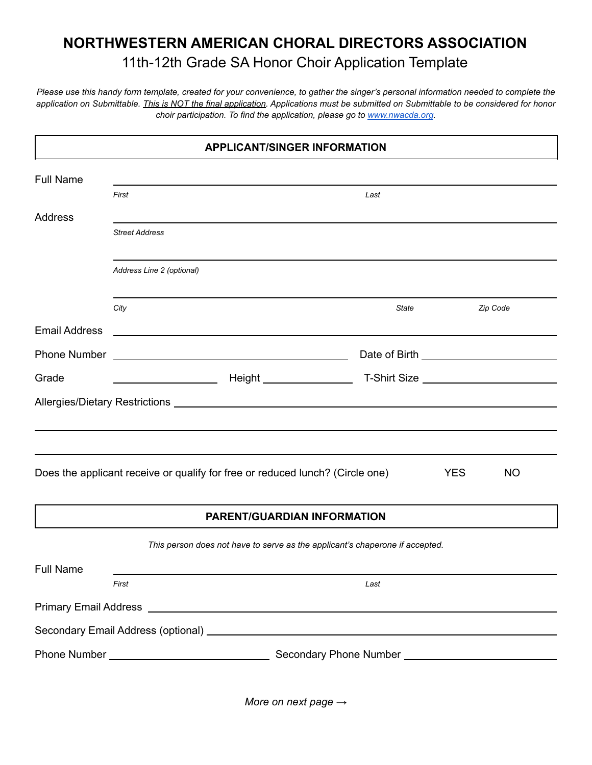## **NORTHWESTERN AMERICAN CHORAL DIRECTORS ASSOCIATION** 11th-12th Grade SA Honor Choir Application Template

*Please use this handy form template, created for your convenience, to gather the singer's personal information needed to complete the application on Submittable. This is NOT the final application. Applications must be submitted on Submittable to be considered for honor choir participation. To find the application, please go to [www.nwacda.org](http://www.nwacda.org).*

| <b>APPLICANT/SINGER INFORMATION</b> |                           |                                                                                                                  |       |            |           |  |  |  |  |
|-------------------------------------|---------------------------|------------------------------------------------------------------------------------------------------------------|-------|------------|-----------|--|--|--|--|
| <b>Full Name</b>                    |                           |                                                                                                                  |       |            |           |  |  |  |  |
|                                     | First                     |                                                                                                                  | Last  |            |           |  |  |  |  |
| <b>Address</b>                      |                           |                                                                                                                  |       |            |           |  |  |  |  |
|                                     | <b>Street Address</b>     |                                                                                                                  |       |            |           |  |  |  |  |
|                                     | Address Line 2 (optional) |                                                                                                                  |       |            |           |  |  |  |  |
|                                     | City                      |                                                                                                                  | State |            | Zip Code  |  |  |  |  |
| <b>Email Address</b>                |                           | and the control of the control of the control of the control of the control of the control of the control of the |       |            |           |  |  |  |  |
| <b>Phone Number</b>                 |                           | <u> 1989 - Johann Barbara, martxa alemaniar amerikan personal (h. 1989).</u>                                     |       |            |           |  |  |  |  |
| Grade                               |                           |                                                                                                                  |       |            |           |  |  |  |  |
|                                     |                           |                                                                                                                  |       |            |           |  |  |  |  |
|                                     |                           |                                                                                                                  |       |            |           |  |  |  |  |
|                                     |                           |                                                                                                                  |       |            |           |  |  |  |  |
|                                     |                           | Does the applicant receive or qualify for free or reduced lunch? (Circle one)                                    |       | <b>YES</b> | <b>NO</b> |  |  |  |  |
|                                     |                           | <b>PARENT/GUARDIAN INFORMATION</b>                                                                               |       |            |           |  |  |  |  |
|                                     |                           | This person does not have to serve as the applicant's chaperone if accepted.                                     |       |            |           |  |  |  |  |
| <b>Full Name</b>                    |                           |                                                                                                                  |       |            |           |  |  |  |  |
|                                     | First                     |                                                                                                                  | Last  |            |           |  |  |  |  |
|                                     |                           |                                                                                                                  |       |            |           |  |  |  |  |
|                                     |                           |                                                                                                                  |       |            |           |  |  |  |  |
|                                     |                           |                                                                                                                  |       |            |           |  |  |  |  |
|                                     |                           |                                                                                                                  |       |            |           |  |  |  |  |

*More on next page →*